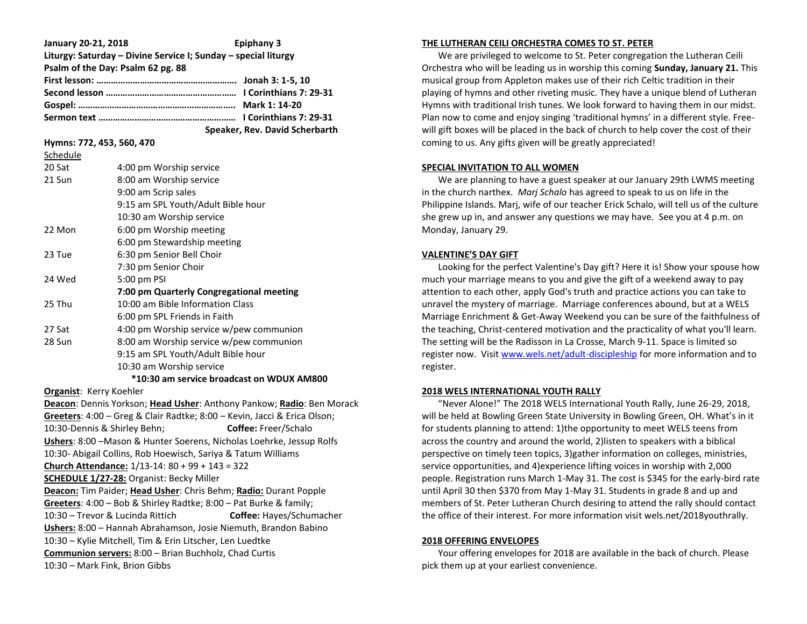| January 20-21, 2018                                            | Epiphany 3                     |
|----------------------------------------------------------------|--------------------------------|
| Liturgy: Saturday - Divine Service I; Sunday - special liturgy |                                |
| Psalm of the Day: Psalm 62 pg. 88                              |                                |
|                                                                |                                |
|                                                                |                                |
|                                                                |                                |
|                                                                |                                |
|                                                                | Speaker, Rev. David Scherbarth |

### **Hymns: 772, 453, 560, 470**

Schedule

| Scriedule |                                           |
|-----------|-------------------------------------------|
| 20 Sat    | 4:00 pm Worship service                   |
| 21 Sun    | 8:00 am Worship service                   |
|           | 9:00 am Scrip sales                       |
|           | 9:15 am SPL Youth/Adult Bible hour        |
|           | 10:30 am Worship service                  |
| 22 Mon    | 6:00 pm Worship meeting                   |
|           | 6:00 pm Stewardship meeting               |
| 23 Tue    | 6:30 pm Senior Bell Choir                 |
|           | 7:30 pm Senior Choir                      |
| 24 Wed    | 5:00 pm PSI                               |
|           | 7:00 pm Quarterly Congregational meeting  |
| 25 Thu    | 10:00 am Bible Information Class          |
|           | 6:00 pm SPL Friends in Faith              |
| 27 Sat    | 4:00 pm Worship service w/pew communion   |
| 28 Sun    | 8:00 am Worship service w/pew communion   |
|           | 9:15 am SPL Youth/Adult Bible hour        |
|           | 10:30 am Worship service                  |
|           | *10:30 am service broadcast on WDUX AM800 |

**Organist**: Kerry Koehler

**Deacon**: Dennis Yorkson; **Head Usher**: Anthony Pankow; **Radio**: Ben Morack **Greeters**: 4:00 – Greg & Clair Radtke; 8:00 – Kevin, Jacci & Erica Olson; 10:30-Dennis & Shirley Behn; **Coffee:** Freer/Schalo **Ushers**: 8:00 –Mason & Hunter Soerens, Nicholas Loehrke, Jessup Rolfs 10:30- Abigail Collins, Rob Hoewisch, Sariya & Tatum Williams **Church Attendance:** 1/13-14: 80 + 99 + 143 = 322 **SCHEDULE 1/27-28:** Organist: Becky Miller **Deacon:** Tim Paider; **Head Usher**: Chris Behm; **Radio:** Durant Popple **Greeters**: 4:00 – Bob & Shirley Radtke; 8:00 – Pat Burke & family; 10:30 – Trevor & Lucinda Rittich **Coffee:** Hayes/Schumacher **Ushers:** 8:00 – Hannah Abrahamson, Josie Niemuth, Brandon Babino 10:30 – Kylie Mitchell, Tim & Erin Litscher, Len Luedtke **Communion servers:** 8:00 – Brian Buchholz, Chad Curtis 10:30 – Mark Fink, Brion Gibbs

# **THE LUTHERAN CEILI ORCHESTRA COMES TO ST. PETER**

 We are privileged to welcome to St. Peter congregation the Lutheran Ceili Orchestra who will be leading us in worship this coming **Sunday, January 21.** This musical group from Appleton makes use of their rich Celtic tradition in their playing of hymns and other riveting music. They have a unique blend of Lutheran Hymns with traditional Irish tunes. We look forward to having them in our midst. Plan now to come and enjoy singing 'traditional hymns' in a different style. Freewill gift boxes will be placed in the back of church to help cover the cost of their coming to us. Any gifts given will be greatly appreciated!

# **SPECIAL INVITATION TO ALL WOMEN**

 We are planning to have a guest speaker at our January 29th LWMS meeting in the church narthex. *Marj Schalo* has agreed to speak to us on life in the Philippine Islands. Marj, wife of our teacher Erick Schalo, will tell us of the culture she grew up in, and answer any questions we may have. See you at 4 p.m. on Monday, January 29.

# **VALENTINE'S DAY GIFT**

 Looking for the perfect Valentine's Day gift? Here it is! Show your spouse how much your marriage means to you and give the gift of a weekend away to pay attention to each other, apply God's truth and practice actions you can take to unravel the mystery of marriage. Marriage conferences abound, but at a WELS Marriage Enrichment & Get-Away Weekend you can be sure of the faithfulness of the teaching, Christ-centered motivation and the practicality of what you'll learn. The setting will be the Radisson in La Crosse, March 9-11. Space is limited so register now. Visit [www.wels.net/adult-discipleship](http://www.wels.net/adult-discipleship) for more information and to register.

# **2018 WELS INTERNATIONAL YOUTH RALLY**

 "Never Alone!" The 2018 WELS International Youth Rally, June 26-29, 2018, will be held at Bowling Green State University in Bowling Green, OH. What's in it for students planning to attend: 1)the opportunity to meet WELS teens from across the country and around the world, 2)listen to speakers with a biblical perspective on timely teen topics, 3)gather information on colleges, ministries, service opportunities, and 4)experience lifting voices in worship with 2,000 people. Registration runs March 1-May 31. The cost is \$345 for the early-bird rate until April 30 then \$370 from May 1-May 31. Students in grade 8 and up and members of St. Peter Lutheran Church desiring to attend the rally should contact the office of their interest. For more information visit wels.net/2018youthrally.

#### **2018 OFFERING ENVELOPES**

 Your offering envelopes for 2018 are available in the back of church. Please pick them up at your earliest convenience.